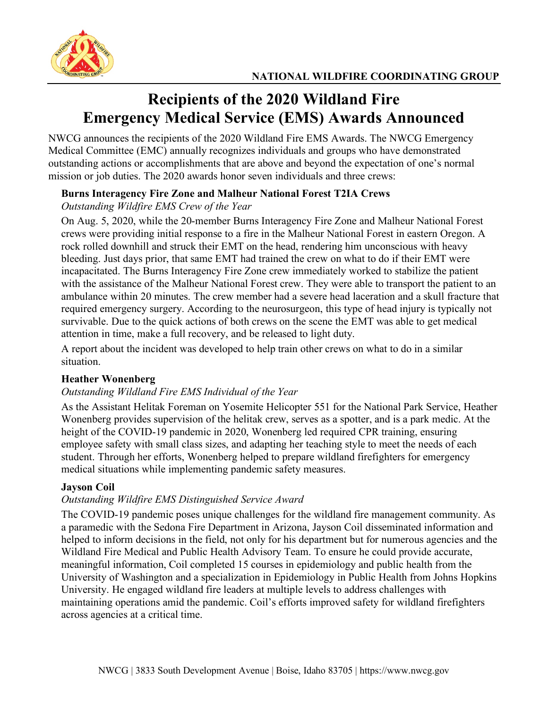

# **Recipients of the 2020 Wildland Fire Emergency Medical Service (EMS) Awards Announced**

NWCG announces the recipients of the 2020 Wildland Fire EMS Awards. The NWCG Emergency Medical Committee (EMC) annually recognizes individuals and groups who have demonstrated outstanding actions or accomplishments that are above and beyond the expectation of one's normal mission or job duties. The 2020 awards honor seven individuals and three crews:

## **Burns Interagency Fire Zone and Malheur National Forest T2IA Crews**

# *Outstanding Wildfire EMS Crew of the Year*

On Aug. 5, 2020, while the 20-member Burns Interagency Fire Zone and Malheur National Forest crews were providing initial response to a fire in the Malheur National Forest in eastern Oregon. A rock rolled downhill and struck their EMT on the head, rendering him unconscious with heavy bleeding. Just days prior, that same EMT had trained the crew on what to do if their EMT were incapacitated. The Burns Interagency Fire Zone crew immediately worked to stabilize the patient with the assistance of the Malheur National Forest crew. They were able to transport the patient to an ambulance within 20 minutes. The crew member had a severe head laceration and a skull fracture that required emergency surgery. According to the neurosurgeon, this type of head injury is typically not survivable. Due to the quick actions of both crews on the scene the EMT was able to get medical attention in time, make a full recovery, and be released to light duty.

A report about the incident was developed to help train other crews on what to do in a similar situation.

## **Heather Wonenberg**

## *Outstanding Wildland Fire EMS Individual of the Year*

As the Assistant Helitak Foreman on Yosemite Helicopter 551 for the National Park Service, Heather Wonenberg provides supervision of the helitak crew, serves as a spotter, and is a park medic. At the height of the COVID-19 pandemic in 2020, Wonenberg led required CPR training, ensuring employee safety with small class sizes, and adapting her teaching style to meet the needs of each student. Through her efforts, Wonenberg helped to prepare wildland firefighters for emergency medical situations while implementing pandemic safety measures.

## **Jayson Coil**

## *Outstanding Wildfire EMS Distinguished Service Award*

The COVID-19 pandemic poses unique challenges for the wildland fire management community. As a paramedic with the Sedona Fire Department in Arizona, Jayson Coil disseminated information and helped to inform decisions in the field, not only for his department but for numerous agencies and the Wildland Fire Medical and Public Health Advisory Team. To ensure he could provide accurate, meaningful information, Coil completed 15 courses in epidemiology and public health from the University of Washington and a specialization in Epidemiology in Public Health from Johns Hopkins University. He engaged wildland fire leaders at multiple levels to address challenges with maintaining operations amid the pandemic. Coil's efforts improved safety for wildland firefighters across agencies at a critical time.